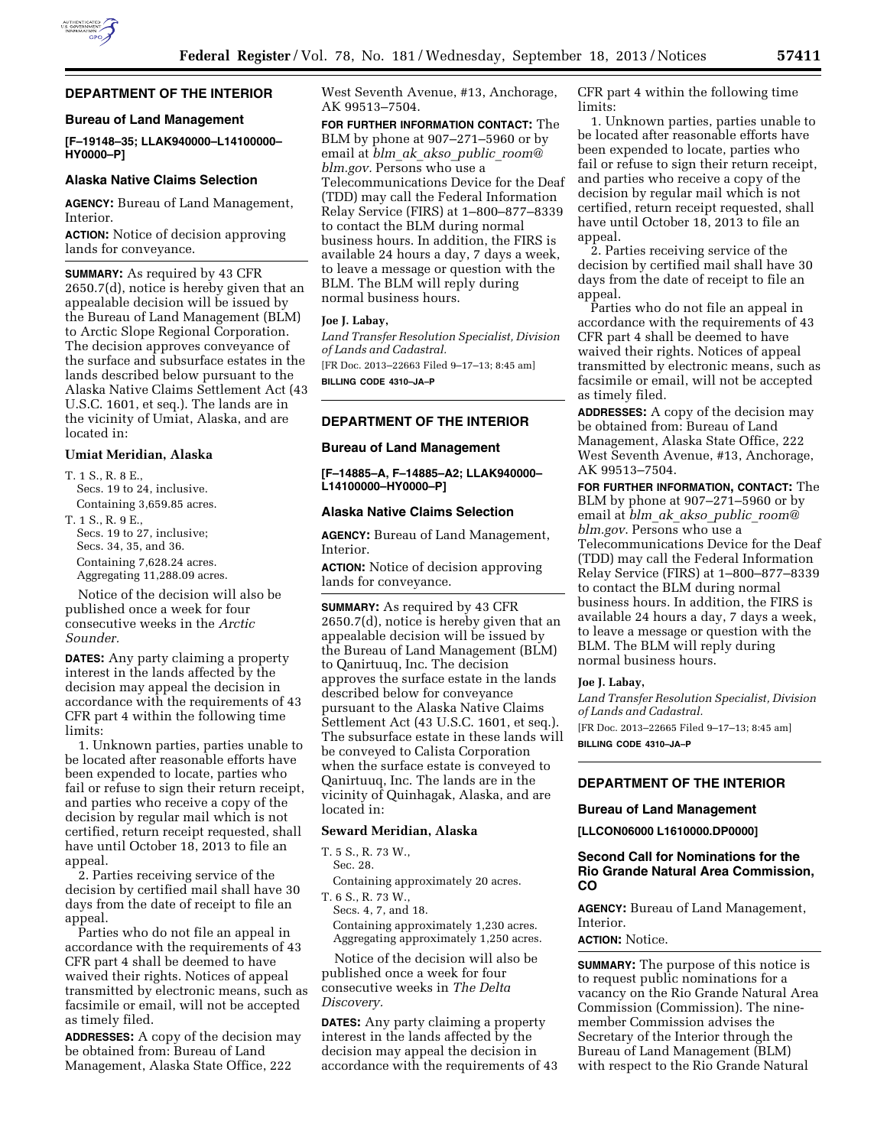

# **DEPARTMENT OF THE INTERIOR**

### **Bureau of Land Management**

**[F–19148–35; LLAK940000–L14100000– HY0000–P]** 

### **Alaska Native Claims Selection**

**AGENCY:** Bureau of Land Management, Interior.

**ACTION:** Notice of decision approving lands for conveyance.

**SUMMARY:** As required by 43 CFR 2650.7(d), notice is hereby given that an appealable decision will be issued by the Bureau of Land Management (BLM) to Arctic Slope Regional Corporation. The decision approves conveyance of the surface and subsurface estates in the lands described below pursuant to the Alaska Native Claims Settlement Act (43 U.S.C. 1601, et seq.). The lands are in the vicinity of Umiat, Alaska, and are located in:

# **Umiat Meridian, Alaska**

- T 1 S. R. 8 E. Secs. 19 to 24, inclusive. Containing 3,659.85 acres.
- T. 1 S., R. 9 E., Secs. 19 to 27, inclusive; Secs. 34, 35, and 36. Containing 7,628.24 acres. Aggregating 11,288.09 acres.

Notice of the decision will also be published once a week for four consecutive weeks in the *Arctic Sounder.* 

**DATES:** Any party claiming a property interest in the lands affected by the decision may appeal the decision in accordance with the requirements of 43 CFR part 4 within the following time limits:

1. Unknown parties, parties unable to be located after reasonable efforts have been expended to locate, parties who fail or refuse to sign their return receipt, and parties who receive a copy of the decision by regular mail which is not certified, return receipt requested, shall have until October 18, 2013 to file an appeal.

2. Parties receiving service of the decision by certified mail shall have 30 days from the date of receipt to file an appeal.

Parties who do not file an appeal in accordance with the requirements of 43 CFR part 4 shall be deemed to have waived their rights. Notices of appeal transmitted by electronic means, such as facsimile or email, will not be accepted as timely filed.

**ADDRESSES:** A copy of the decision may be obtained from: Bureau of Land Management, Alaska State Office, 222

West Seventh Avenue, #13, Anchorage, AK 99513–7504.

**FOR FURTHER INFORMATION CONTACT:** The BLM by phone at 907–271–5960 or by email at *blm*\_*ak*\_*akso*\_*public*\_*[room@](mailto:blm_ak_akso_public_room@blm.gov) [blm.gov.](mailto:blm_ak_akso_public_room@blm.gov)* Persons who use a Telecommunications Device for the Deaf (TDD) may call the Federal Information Relay Service (FIRS) at 1–800–877–8339 to contact the BLM during normal business hours. In addition, the FIRS is available 24 hours a day, 7 days a week, to leave a message or question with the BLM. The BLM will reply during normal business hours.

### **Joe J. Labay,**

*Land Transfer Resolution Specialist, Division of Lands and Cadastral.* 

[FR Doc. 2013–22663 Filed 9–17–13; 8:45 am] **BILLING CODE 4310–JA–P** 

#### **DEPARTMENT OF THE INTERIOR**

#### **Bureau of Land Management**

**[F–14885–A, F–14885–A2; LLAK940000– L14100000–HY0000–P]** 

#### **Alaska Native Claims Selection**

**AGENCY:** Bureau of Land Management, Interior.

**ACTION:** Notice of decision approving lands for conveyance.

**SUMMARY:** As required by 43 CFR 2650.7(d), notice is hereby given that an appealable decision will be issued by the Bureau of Land Management (BLM) to Qanirtuuq, Inc. The decision approves the surface estate in the lands described below for conveyance pursuant to the Alaska Native Claims Settlement Act (43 U.S.C. 1601, et seq.). The subsurface estate in these lands will be conveyed to Calista Corporation when the surface estate is conveyed to Qanirtuuq, Inc. The lands are in the vicinity of Quinhagak, Alaska, and are located in:

## **Seward Meridian, Alaska**

T. 5 S., R. 73 W.,

Sec. 28.

Containing approximately 20 acres.

T. 6 S., R. 73 W., Secs. 4, 7, and 18.

Containing approximately 1,230 acres. Aggregating approximately 1,250 acres.

Notice of the decision will also be published once a week for four consecutive weeks in *The Delta Discovery.* 

**DATES:** Any party claiming a property interest in the lands affected by the decision may appeal the decision in accordance with the requirements of 43 CFR part 4 within the following time limits:

1. Unknown parties, parties unable to be located after reasonable efforts have been expended to locate, parties who fail or refuse to sign their return receipt, and parties who receive a copy of the decision by regular mail which is not certified, return receipt requested, shall have until October 18, 2013 to file an appeal.

2. Parties receiving service of the decision by certified mail shall have 30 days from the date of receipt to file an appeal.

Parties who do not file an appeal in accordance with the requirements of 43 CFR part 4 shall be deemed to have waived their rights. Notices of appeal transmitted by electronic means, such as facsimile or email, will not be accepted as timely filed.

**ADDRESSES:** A copy of the decision may be obtained from: Bureau of Land Management, Alaska State Office, 222 West Seventh Avenue, #13, Anchorage, AK 99513–7504.

**FOR FURTHER INFORMATION, CONTACT:** The BLM by phone at 907–271–5960 or by email at *blm*\_*ak*\_*akso*\_*public*\_*[room@](mailto:blm_ak_akso_public_room@blm.gov) [blm.gov](mailto:blm_ak_akso_public_room@blm.gov)*. Persons who use a Telecommunications Device for the Deaf (TDD) may call the Federal Information Relay Service (FIRS) at 1–800–877–8339 to contact the BLM during normal business hours. In addition, the FIRS is available 24 hours a day, 7 days a week, to leave a message or question with the BLM. The BLM will reply during normal business hours.

#### **Joe J. Labay,**

*Land Transfer Resolution Specialist, Division of Lands and Cadastral.*  [FR Doc. 2013–22665 Filed 9–17–13; 8:45 am]

**BILLING CODE 4310–JA–P** 

## **DEPARTMENT OF THE INTERIOR**

## **Bureau of Land Management**

**[LLCON06000 L1610000.DP0000]** 

# **Second Call for Nominations for the Rio Grande Natural Area Commission, CO**

**AGENCY:** Bureau of Land Management, Interior.

## **ACTION:** Notice.

**SUMMARY:** The purpose of this notice is to request public nominations for a vacancy on the Rio Grande Natural Area Commission (Commission). The ninemember Commission advises the Secretary of the Interior through the Bureau of Land Management (BLM) with respect to the Rio Grande Natural